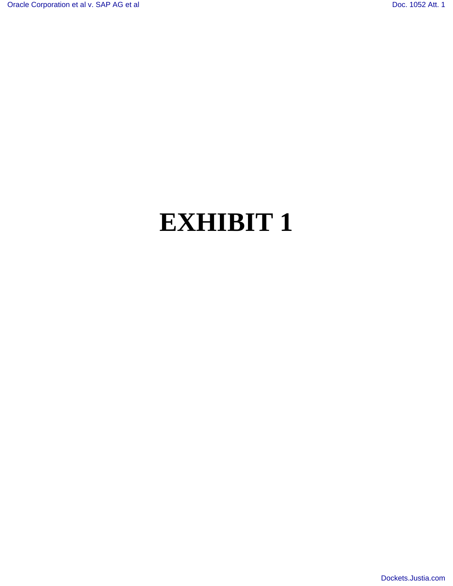# **EXHIBIT 1**

[Dockets.Justia.com](http://dockets.justia.com/)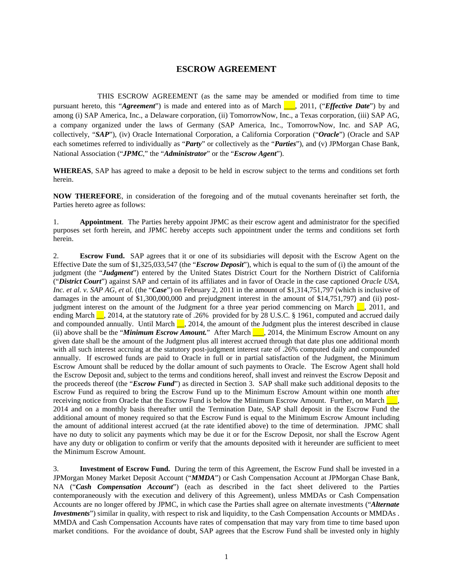#### **ESCROW AGREEMENT**

 THIS ESCROW AGREEMENT (as the same may be amended or modified from time to time pursuant hereto, this "*Agreement*") is made and entered into as of March \_\_\_, 2011, ("*Effective Date*") by and among (i) SAP America, Inc., a Delaware corporation, (ii) TomorrowNow, Inc., a Texas corporation, (iii) SAP AG, a company organized under the laws of Germany (SAP America, Inc., TomorrowNow, Inc. and SAP AG, collectively, "*SAP*"), (iv) Oracle International Corporation, a California Corporation ("*Oracle*") (Oracle and SAP each sometimes referred to individually as "*Party*" or collectively as the "*Parties*"), and (v) JPMorgan Chase Bank, National Association ("*JPMC*," the "*Administrator*" or the "*Escrow Agent*").

**WHEREAS**, SAP has agreed to make a deposit to be held in escrow subject to the terms and conditions set forth herein.

**NOW THEREFORE**, in consideration of the foregoing and of the mutual covenants hereinafter set forth, the Parties hereto agree as follows:

1. **Appointment**. The Parties hereby appoint JPMC as their escrow agent and administrator for the specified purposes set forth herein, and JPMC hereby accepts such appointment under the terms and conditions set forth herein.

2. **Escrow Fund.** SAP agrees that it or one of its subsidiaries will deposit with the Escrow Agent on the Effective Date the sum of \$1,325,033,547 (the "*Escrow Deposit*"), which is equal to the sum of (i) the amount of the judgment (the "*Judgment*") entered by the United States District Court for the Northern District of California ("*District Court*") against SAP and certain of its affiliates and in favor of Oracle in the case captioned *Oracle USA, Inc. et al. v. SAP AG, et al.* (the "*Case*") on February 2, 2011 in the amount of \$1,314,751,797 (which is inclusive of damages in the amount of \$1,300,000,000 and prejudgment interest in the amount of \$14,751,797) and (ii) postjudgment interest on the amount of the Judgment for a three year period commencing on March  $\Box$ , 2011, and ending March <sup>1</sup>, 2014, at the statutory rate of .26% provided for by 28 U.S.C. § 1961, computed and accrued daily and compounded annually. Until March  $\Box$ , 2014, the amount of the Judgment plus the interest described in clause (ii) above shall be the "*Minimum Escrow Amount*." After March 1, 2014, the Minimum Escrow Amount on any given date shall be the amount of the Judgment plus all interest accrued through that date plus one additional month with all such interest accruing at the statutory post-judgment interest rate of .26% computed daily and compounded annually. If escrowed funds are paid to Oracle in full or in partial satisfaction of the Judgment, the Minimum Escrow Amount shall be reduced by the dollar amount of such payments to Oracle. The Escrow Agent shall hold the Escrow Deposit and, subject to the terms and conditions hereof, shall invest and reinvest the Escrow Deposit and the proceeds thereof (the "*Escrow Fund*") as directed in Section 3. SAP shall make such additional deposits to the Escrow Fund as required to bring the Escrow Fund up to the Minimum Escrow Amount within one month after receiving notice from Oracle that the Escrow Fund is below the Minimum Escrow Amount. Further, on March  $\blacksquare$ , 2014 and on a monthly basis thereafter until the Termination Date, SAP shall deposit in the Escrow Fund the additional amount of money required so that the Escrow Fund is equal to the Minimum Escrow Amount including the amount of additional interest accrued (at the rate identified above) to the time of determination. JPMC shall have no duty to solicit any payments which may be due it or for the Escrow Deposit, nor shall the Escrow Agent have any duty or obligation to confirm or verify that the amounts deposited with it hereunder are sufficient to meet the Minimum Escrow Amount.

3. **Investment of Escrow Fund.** During the term of this Agreement, the Escrow Fund shall be invested in a JPMorgan Money Market Deposit Account ("*MMDA*") or Cash Compensation Account at JPMorgan Chase Bank, NA ("*Cash Compensation Account*") (each as described in the fact sheet delivered to the Parties contemporaneously with the execution and delivery of this Agreement), unless MMDAs or Cash Compensation Accounts are no longer offered by JPMC, in which case the Parties shall agree on alternate investments ("*Alternate Investments*") similar in quality, with respect to risk and liquidity, to the Cash Compensation Accounts or MMDAs. MMDA and Cash Compensation Accounts have rates of compensation that may vary from time to time based upon market conditions. For the avoidance of doubt, SAP agrees that the Escrow Fund shall be invested only in highly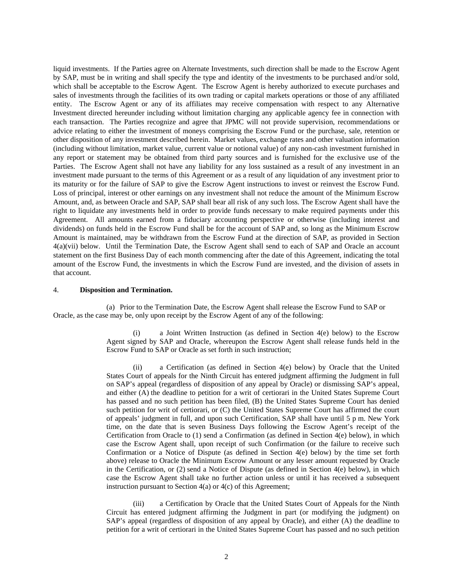liquid investments. If the Parties agree on Alternate Investments, such direction shall be made to the Escrow Agent by SAP, must be in writing and shall specify the type and identity of the investments to be purchased and/or sold, which shall be acceptable to the Escrow Agent. The Escrow Agent is hereby authorized to execute purchases and sales of investments through the facilities of its own trading or capital markets operations or those of any affiliated entity. The Escrow Agent or any of its affiliates may receive compensation with respect to any Alternative Investment directed hereunder including without limitation charging any applicable agency fee in connection with each transaction. The Parties recognize and agree that JPMC will not provide supervision, recommendations or advice relating to either the investment of moneys comprising the Escrow Fund or the purchase, sale, retention or other disposition of any investment described herein. Market values, exchange rates and other valuation information (including without limitation, market value, current value or notional value) of any non-cash investment furnished in any report or statement may be obtained from third party sources and is furnished for the exclusive use of the Parties. The Escrow Agent shall not have any liability for any loss sustained as a result of any investment in an investment made pursuant to the terms of this Agreement or as a result of any liquidation of any investment prior to its maturity or for the failure of SAP to give the Escrow Agent instructions to invest or reinvest the Escrow Fund. Loss of principal, interest or other earnings on any investment shall not reduce the amount of the Minimum Escrow Amount, and, as between Oracle and SAP, SAP shall bear all risk of any such loss. The Escrow Agent shall have the right to liquidate any investments held in order to provide funds necessary to make required payments under this Agreement. All amounts earned from a fiduciary accounting perspective or otherwise (including interest and dividends) on funds held in the Escrow Fund shall be for the account of SAP and, so long as the Minimum Escrow Amount is maintained, may be withdrawn from the Escrow Fund at the direction of SAP, as provided in Section 4(a)(vii) below. Until the Termination Date, the Escrow Agent shall send to each of SAP and Oracle an account statement on the first Business Day of each month commencing after the date of this Agreement, indicating the total amount of the Escrow Fund, the investments in which the Escrow Fund are invested, and the division of assets in that account.

#### 4. **Disposition and Termination.**

(a) Prior to the Termination Date, the Escrow Agent shall release the Escrow Fund to SAP or Oracle, as the case may be, only upon receipt by the Escrow Agent of any of the following:

> (i) a Joint Written Instruction (as defined in Section 4(e) below) to the Escrow Agent signed by SAP and Oracle, whereupon the Escrow Agent shall release funds held in the Escrow Fund to SAP or Oracle as set forth in such instruction;

> (ii) a Certification (as defined in Section 4(e) below) by Oracle that the United States Court of appeals for the Ninth Circuit has entered judgment affirming the Judgment in full on SAP's appeal (regardless of disposition of any appeal by Oracle) or dismissing SAP's appeal, and either (A) the deadline to petition for a writ of certiorari in the United States Supreme Court has passed and no such petition has been filed, (B) the United States Supreme Court has denied such petition for writ of certiorari, or (C) the United States Supreme Court has affirmed the court of appeals' judgment in full, and upon such Certification, SAP shall have until 5 p m. New York time, on the date that is seven Business Days following the Escrow Agent's receipt of the Certification from Oracle to (1) send a Confirmation (as defined in Section 4(e) below), in which case the Escrow Agent shall, upon receipt of such Confirmation (or the failure to receive such Confirmation or a Notice of Dispute (as defined in Section 4(e) below) by the time set forth above) release to Oracle the Minimum Escrow Amount or any lesser amount requested by Oracle in the Certification, or (2) send a Notice of Dispute (as defined in Section 4(e) below), in which case the Escrow Agent shall take no further action unless or until it has received a subsequent instruction pursuant to Section 4(a) or 4(c) of this Agreement;

> (iii) a Certification by Oracle that the United States Court of Appeals for the Ninth Circuit has entered judgment affirming the Judgment in part (or modifying the judgment) on SAP's appeal (regardless of disposition of any appeal by Oracle), and either (A) the deadline to petition for a writ of certiorari in the United States Supreme Court has passed and no such petition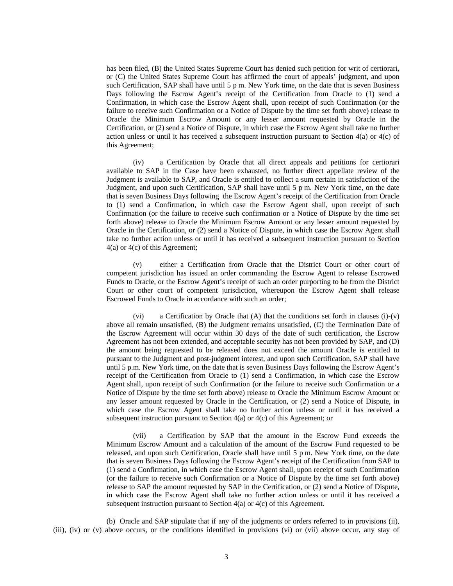has been filed, (B) the United States Supreme Court has denied such petition for writ of certiorari, or (C) the United States Supreme Court has affirmed the court of appeals' judgment, and upon such Certification, SAP shall have until 5 p m. New York time, on the date that is seven Business Days following the Escrow Agent's receipt of the Certification from Oracle to (1) send a Confirmation, in which case the Escrow Agent shall, upon receipt of such Confirmation (or the failure to receive such Confirmation or a Notice of Dispute by the time set forth above) release to Oracle the Minimum Escrow Amount or any lesser amount requested by Oracle in the Certification, or (2) send a Notice of Dispute, in which case the Escrow Agent shall take no further action unless or until it has received a subsequent instruction pursuant to Section 4(a) or 4(c) of this Agreement;

(iv) a Certification by Oracle that all direct appeals and petitions for certiorari available to SAP in the Case have been exhausted, no further direct appellate review of the Judgment is available to SAP, and Oracle is entitled to collect a sum certain in satisfaction of the Judgment, and upon such Certification, SAP shall have until 5 p m. New York time, on the date that is seven Business Days following the Escrow Agent's receipt of the Certification from Oracle to (1) send a Confirmation, in which case the Escrow Agent shall, upon receipt of such Confirmation (or the failure to receive such confirmation or a Notice of Dispute by the time set forth above) release to Oracle the Minimum Escrow Amount or any lesser amount requested by Oracle in the Certification, or (2) send a Notice of Dispute, in which case the Escrow Agent shall take no further action unless or until it has received a subsequent instruction pursuant to Section 4(a) or 4(c) of this Agreement;

(v) either a Certification from Oracle that the District Court or other court of competent jurisdiction has issued an order commanding the Escrow Agent to release Escrowed Funds to Oracle, or the Escrow Agent's receipt of such an order purporting to be from the District Court or other court of competent jurisdiction, whereupon the Escrow Agent shall release Escrowed Funds to Oracle in accordance with such an order;

(vi) a Certification by Oracle that  $(A)$  that the conditions set forth in clauses (i)-(v) above all remain unsatisfied, (B) the Judgment remains unsatisfied, (C) the Termination Date of the Escrow Agreement will occur within 30 days of the date of such certification, the Escrow Agreement has not been extended, and acceptable security has not been provided by SAP, and (D) the amount being requested to be released does not exceed the amount Oracle is entitled to pursuant to the Judgment and post-judgment interest, and upon such Certification, SAP shall have until 5 p.m. New York time, on the date that is seven Business Days following the Escrow Agent's receipt of the Certification from Oracle to (1) send a Confirmation, in which case the Escrow Agent shall, upon receipt of such Confirmation (or the failure to receive such Confirmation or a Notice of Dispute by the time set forth above) release to Oracle the Minimum Escrow Amount or any lesser amount requested by Oracle in the Certification, or (2) send a Notice of Dispute, in which case the Escrow Agent shall take no further action unless or until it has received a subsequent instruction pursuant to Section 4(a) or 4(c) of this Agreement; or

(vii) a Certification by SAP that the amount in the Escrow Fund exceeds the Minimum Escrow Amount and a calculation of the amount of the Escrow Fund requested to be released, and upon such Certification, Oracle shall have until 5 p m. New York time, on the date that is seven Business Days following the Escrow Agent's receipt of the Certification from SAP to (1) send a Confirmation, in which case the Escrow Agent shall, upon receipt of such Confirmation (or the failure to receive such Confirmation or a Notice of Dispute by the time set forth above) release to SAP the amount requested by SAP in the Certification, or (2) send a Notice of Dispute, in which case the Escrow Agent shall take no further action unless or until it has received a subsequent instruction pursuant to Section 4(a) or 4(c) of this Agreement.

(b) Oracle and SAP stipulate that if any of the judgments or orders referred to in provisions (ii), (iii), (iv) or (v) above occurs, or the conditions identified in provisions (vi) or (vii) above occur, any stay of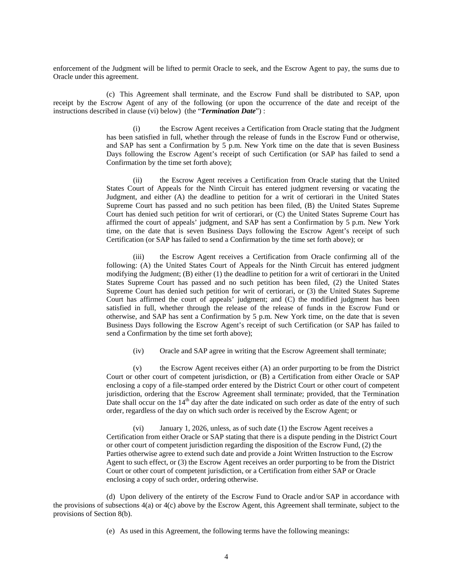enforcement of the Judgment will be lifted to permit Oracle to seek, and the Escrow Agent to pay, the sums due to Oracle under this agreement.

(c) This Agreement shall terminate, and the Escrow Fund shall be distributed to SAP, upon receipt by the Escrow Agent of any of the following (or upon the occurrence of the date and receipt of the instructions described in clause (vi) below) (the "*Termination Date*") :

> (i) the Escrow Agent receives a Certification from Oracle stating that the Judgment has been satisfied in full, whether through the release of funds in the Escrow Fund or otherwise, and SAP has sent a Confirmation by 5 p.m. New York time on the date that is seven Business Days following the Escrow Agent's receipt of such Certification (or SAP has failed to send a Confirmation by the time set forth above);

> (ii) the Escrow Agent receives a Certification from Oracle stating that the United States Court of Appeals for the Ninth Circuit has entered judgment reversing or vacating the Judgment, and either (A) the deadline to petition for a writ of certiorari in the United States Supreme Court has passed and no such petition has been filed, (B) the United States Supreme Court has denied such petition for writ of certiorari, or (C) the United States Supreme Court has affirmed the court of appeals' judgment, and SAP has sent a Confirmation by 5 p.m. New York time, on the date that is seven Business Days following the Escrow Agent's receipt of such Certification (or SAP has failed to send a Confirmation by the time set forth above); or

> (iii) the Escrow Agent receives a Certification from Oracle confirming all of the following: (A) the United States Court of Appeals for the Ninth Circuit has entered judgment modifying the Judgment; (B) either (1) the deadline to petition for a writ of certiorari in the United States Supreme Court has passed and no such petition has been filed, (2) the United States Supreme Court has denied such petition for writ of certiorari, or (3) the United States Supreme Court has affirmed the court of appeals' judgment; and (C) the modified judgment has been satisfied in full, whether through the release of the release of funds in the Escrow Fund or otherwise, and SAP has sent a Confirmation by 5 p.m. New York time, on the date that is seven Business Days following the Escrow Agent's receipt of such Certification (or SAP has failed to send a Confirmation by the time set forth above);

(iv) Oracle and SAP agree in writing that the Escrow Agreement shall terminate;

(v) the Escrow Agent receives either (A) an order purporting to be from the District Court or other court of competent jurisdiction, or (B) a Certification from either Oracle or SAP enclosing a copy of a file-stamped order entered by the District Court or other court of competent jurisdiction, ordering that the Escrow Agreement shall terminate; provided, that the Termination Date shall occur on the  $14<sup>th</sup>$  day after the date indicated on such order as date of the entry of such order, regardless of the day on which such order is received by the Escrow Agent; or

(vi) January 1, 2026, unless, as of such date (1) the Escrow Agent receives a Certification from either Oracle or SAP stating that there is a dispute pending in the District Court or other court of competent jurisdiction regarding the disposition of the Escrow Fund, (2) the Parties otherwise agree to extend such date and provide a Joint Written Instruction to the Escrow Agent to such effect, or (3) the Escrow Agent receives an order purporting to be from the District Court or other court of competent jurisdiction, or a Certification from either SAP or Oracle enclosing a copy of such order, ordering otherwise.

(d) Upon delivery of the entirety of the Escrow Fund to Oracle and/or SAP in accordance with the provisions of subsections 4(a) or 4(c) above by the Escrow Agent, this Agreement shall terminate, subject to the provisions of Section 8(b).

(e) As used in this Agreement, the following terms have the following meanings: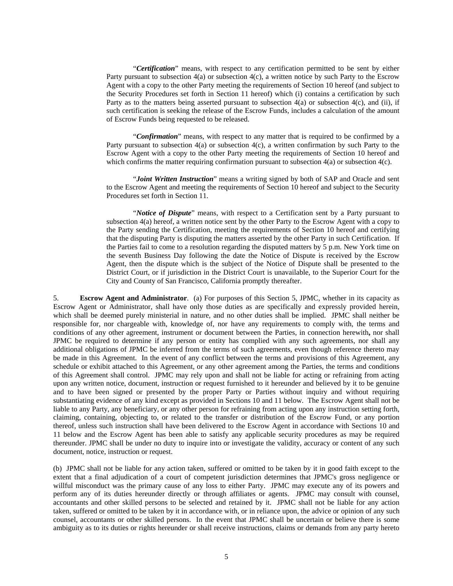"*Certification*" means, with respect to any certification permitted to be sent by either Party pursuant to subsection  $4(a)$  or subsection  $4(c)$ , a written notice by such Party to the Escrow Agent with a copy to the other Party meeting the requirements of Section 10 hereof (and subject to the Security Procedures set forth in Section 11 hereof) which (i) contains a certification by such Party as to the matters being asserted pursuant to subsection 4(a) or subsection 4(c), and (ii), if such certification is seeking the release of the Escrow Funds, includes a calculation of the amount of Escrow Funds being requested to be released.

 "*Confirmation*" means, with respect to any matter that is required to be confirmed by a Party pursuant to subsection 4(a) or subsection 4(c), a written confirmation by such Party to the Escrow Agent with a copy to the other Party meeting the requirements of Section 10 hereof and which confirms the matter requiring confirmation pursuant to subsection  $4(a)$  or subsection  $4(c)$ .

 "*Joint Written Instruction*" means a writing signed by both of SAP and Oracle and sent to the Escrow Agent and meeting the requirements of Section 10 hereof and subject to the Security Procedures set forth in Section 11.

 "*Notice of Dispute*" means, with respect to a Certification sent by a Party pursuant to subsection 4(a) hereof, a written notice sent by the other Party to the Escrow Agent with a copy to the Party sending the Certification, meeting the requirements of Section 10 hereof and certifying that the disputing Party is disputing the matters asserted by the other Party in such Certification. If the Parties fail to come to a resolution regarding the disputed matters by 5 p.m. New York time on the seventh Business Day following the date the Notice of Dispute is received by the Escrow Agent, then the dispute which is the subject of the Notice of Dispute shall be presented to the District Court, or if jurisdiction in the District Court is unavailable, to the Superior Court for the City and County of San Francisco, California promptly thereafter.

5. **Escrow Agent and Administrator**. (a) For purposes of this Section 5, JPMC, whether in its capacity as Escrow Agent or Administrator, shall have only those duties as are specifically and expressly provided herein, which shall be deemed purely ministerial in nature, and no other duties shall be implied. JPMC shall neither be responsible for, nor chargeable with, knowledge of, nor have any requirements to comply with, the terms and conditions of any other agreement, instrument or document between the Parties, in connection herewith**,** nor shall JPMC be required to determine if any person or entity has complied with any such agreements, nor shall any additional obligations of JPMC be inferred from the terms of such agreements, even though reference thereto may be made in this Agreement. In the event of any conflict between the terms and provisions of this Agreement, any schedule or exhibit attached to this Agreement, or any other agreement among the Parties, the terms and conditions of this Agreement shall control. JPMC may rely upon and shall not be liable for acting or refraining from acting upon any written notice, document, instruction or request furnished to it hereunder and believed by it to be genuine and to have been signed or presented by the proper Party or Parties without inquiry and without requiring substantiating evidence of any kind except as provided in Sections 10 and 11 below. The Escrow Agent shall not be liable to any Party, any beneficiary, or any other person for refraining from acting upon any instruction setting forth, claiming, containing, objecting to, or related to the transfer or distribution of the Escrow Fund, or any portion thereof, unless such instruction shall have been delivered to the Escrow Agent in accordance with Sections 10 and 11 below and the Escrow Agent has been able to satisfy any applicable security procedures as may be required thereunder. JPMC shall be under no duty to inquire into or investigate the validity, accuracy or content of any such document, notice, instruction or request.

(b) JPMC shall not be liable for any action taken, suffered or omitted to be taken by it in good faith except to the extent that a final adjudication of a court of competent jurisdiction determines that JPMC's gross negligence or willful misconduct was the primary cause of any loss to either Party. JPMC may execute any of its powers and perform any of its duties hereunder directly or through affiliates or agents. JPMC may consult with counsel, accountants and other skilled persons to be selected and retained by it. JPMC shall not be liable for any action taken, suffered or omitted to be taken by it in accordance with, or in reliance upon, the advice or opinion of any such counsel, accountants or other skilled persons. In the event that JPMC shall be uncertain or believe there is some ambiguity as to its duties or rights hereunder or shall receive instructions, claims or demands from any party hereto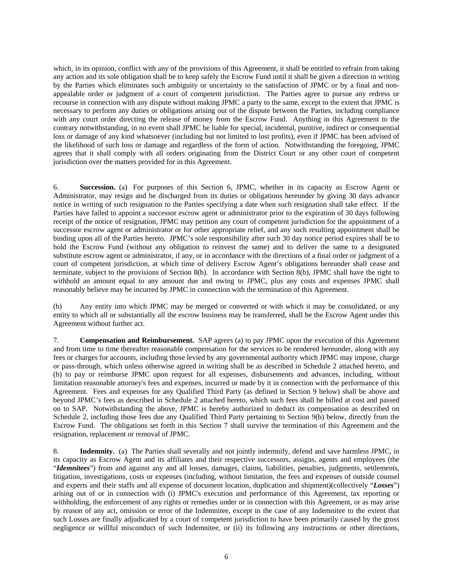which, in its opinion, conflict with any of the provisions of this Agreement, it shall be entitled to refrain from taking any action and its sole obligation shall be to keep safely the Escrow Fund until it shall be given a direction in writing by the Parties which eliminates such ambiguity or uncertainty to the satisfaction of JPMC or by a final and nonappealable order or judgment of a court of competent jurisdiction. The Parties agree to pursue any redress or recourse in connection with any dispute without making JPMC a party to the same, except to the extent that JPMC is necessary to perform any duties or obligations arising out of the dispute between the Parties, including compliance with any court order directing the release of money from the Escrow Fund. Anything in this Agreement to the contrary notwithstanding, in no event shall JPMC be liable for special, incidental, punitive, indirect or consequential loss or damage of any kind whatsoever (including but not limited to lost profits), even if JPMC has been advised of the likelihood of such loss or damage and regardless of the form of action. Notwithstanding the foregoing, JPMC agrees that it shall comply with all orders originating from the District Court or any other court of competent jurisdiction over the matters provided for in this Agreement.

6. **Succession.** (a) For purposes of this Section 6, JPMC, whether in its capacity as Escrow Agent or Administrator, may resign and be discharged from its duties or obligations hereunder by giving 30 days advance notice in writing of such resignation to the Parties specifying a date when such resignation shall take effect. If the Parties have failed to appoint a successor escrow agent or administrator prior to the expiration of 30 days following receipt of the notice of resignation, JPMC may petition any court of competent jurisdiction for the appointment of a successor escrow agent or administrator or for other appropriate relief, and any such resulting appointment shall be binding upon all of the Parties hereto. JPMC's sole responsibility after such 30 day notice period expires shall be to hold the Escrow Fund (without any obligation to reinvest the same) and to deliver the same to a designated substitute escrow agent or administrator, if any, or in accordance with the directions of a final order or judgment of a court of competent jurisdiction, at which time of delivery Escrow Agent's obligations hereunder shall cease and terminate, subject to the provisions of Section 8(b). In accordance with Section 8(b), JPMC shall have the right to withhold an amount equal to any amount due and owing to JPMC, plus any costs and expenses JPMC shall reasonably believe may be incurred by JPMC in connection with the termination of this Agreement.

(b) Any entity into which JPMC may be merged or converted or with which it may be consolidated, or any entity to which all or substantially all the escrow business may be transferred, shall be the Escrow Agent under this Agreement without further act.

7. **Compensation and Reimbursement.** SAP agrees (a) to pay JPMC upon the execution of this Agreement and from time to time thereafter reasonable compensation for the services to be rendered hereunder, along with any fees or charges for accounts, including those levied by any governmental authority which JPMC may impose, charge or pass-through, which unless otherwise agreed in writing shall be as described in Schedule 2 attached hereto, and (b) to pay or reimburse JPMC upon request for all expenses, disbursements and advances, including, without limitation reasonable attorney's fees and expenses, incurred or made by it in connection with the performance of this Agreement. Fees and expenses for any Qualified Third Party (as defined in Section 9 below) shall be above and beyond JPMC's fees as described in Schedule 2 attached hereto, which such fees shall be billed at cost and passed on to SAP. Notwithstanding the above, JPMC is hereby authorized to deduct its compensation as described on Schedule 2, including those fees due any Qualified Third Party pertaining to Section 9(b) below, directly from the Escrow Fund. The obligations set forth in this Section 7 shall survive the termination of this Agreement and the resignation, replacement or removal of JPMC.

8. **Indemnity.** (a) The Parties shall severally and not jointly indemnify, defend and save harmless JPMC, in its capacity as Escrow Agent and its affiliates and their respective successors, assigns, agents and employees (the "*Idemnitees*") from and against any and all losses, damages, claims, liabilities, penalties, judgments, settlements, litigation, investigations, costs or expenses (including, without limitation, the fees and expenses of outside counsel and experts and their staffs and all expense of document location, duplication and shipment)(collectively "*Losses*") arising out of or in connection with (i) JPMC's execution and performance of this Agreement, tax reporting or withholding, the enforcement of any rights or remedies under or in connection with this Agreement, or as may arise by reason of any act, omission or error of the Indemnitee, except in the case of any Indemnitee to the extent that such Losses are finally adjudicated by a court of competent jurisdiction to have been primarily caused by the gross negligence or willful misconduct of such Indemnitee, or (ii) its following any instructions or other directions,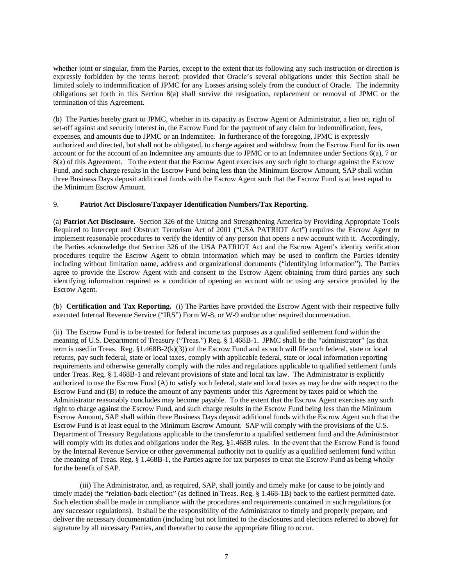whether joint or singular, from the Parties, except to the extent that its following any such instruction or direction is expressly forbidden by the terms hereof; provided that Oracle's several obligations under this Section shall be limited solely to indemnification of JPMC for any Losses arising solely from the conduct of Oracle. The indemnity obligations set forth in this Section 8(a) shall survive the resignation, replacement or removal of JPMC or the termination of this Agreement.

(b) The Parties hereby grant to JPMC, whether in its capacity as Escrow Agent or Administrator, a lien on, right of set-off against and security interest in, the Escrow Fund for the payment of any claim for indemnification, fees, expenses, and amounts due to JPMC or an Indemnitee. In furtherance of the foregoing, JPMC is expressly authorized and directed, but shall not be obligated, to charge against and withdraw from the Escrow Fund for its own account or for the account of an Indemnitee any amounts due to JPMC or to an Indemnitee under Sections 6(a), 7 or 8(a) of this Agreement. To the extent that the Escrow Agent exercises any such right to charge against the Escrow Fund, and such charge results in the Escrow Fund being less than the Minimum Escrow Amount, SAP shall within three Business Days deposit additional funds with the Escrow Agent such that the Escrow Fund is at least equal to the Minimum Escrow Amount.

#### 9. **Patriot Act Disclosure/Taxpayer Identification Numbers/Tax Reporting.**

(a) **Patriot Act Disclosure.** Section 326 of the Uniting and Strengthening America by Providing Appropriate Tools Required to Intercept and Obstruct Terrorism Act of 2001 ("USA PATRIOT Act") requires the Escrow Agent to implement reasonable procedures to verify the identity of any person that opens a new account with it. Accordingly, the Parties acknowledge that Section 326 of the USA PATRIOT Act and the Escrow Agent's identity verification procedures require the Escrow Agent to obtain information which may be used to confirm the Parties identity including without limitation name, address and organizational documents ("identifying information"). The Parties agree to provide the Escrow Agent with and consent to the Escrow Agent obtaining from third parties any such identifying information required as a condition of opening an account with or using any service provided by the Escrow Agent.

(b) **Certification and Tax Reporting.** (i) The Parties have provided the Escrow Agent with their respective fully executed Internal Revenue Service ("IRS") Form W-8, or W-9 and/or other required documentation.

(ii) The Escrow Fund is to be treated for federal income tax purposes as a qualified settlement fund within the meaning of U.S. Department of Treasury ("Treas.") Reg. § 1.468B-1. JPMC shall be the "administrator" (as that term is used in Treas. Reg.  $\S1.468B-2(k)(3)$  of the Escrow Fund and as such will file such federal, state or local returns, pay such federal, state or local taxes, comply with applicable federal, state or local information reporting requirements and otherwise generally comply with the rules and regulations applicable to qualified settlement funds under Treas. Reg. § 1.468B-1 and relevant provisions of state and local tax law. The Administrator is explicitly authorized to use the Escrow Fund (A) to satisfy such federal, state and local taxes as may be due with respect to the Escrow Fund and (B) to reduce the amount of any payments under this Agreement by taxes paid or which the Administrator reasonably concludes may become payable. To the extent that the Escrow Agent exercises any such right to charge against the Escrow Fund, and such charge results in the Escrow Fund being less than the Minimum Escrow Amount, SAP shall within three Business Days deposit additional funds with the Escrow Agent such that the Escrow Fund is at least equal to the Minimum Escrow Amount. SAP will comply with the provisions of the U.S. Department of Treasury Regulations applicable to the transferor to a qualified settlement fund and the Administrator will comply with its duties and obligations under the Reg. §1.468B rules. In the event that the Escrow Fund is found by the Internal Revenue Service or other governmental authority not to qualify as a qualified settlement fund within the meaning of Treas. Reg. § 1.468B-1, the Parties agree for tax purposes to treat the Escrow Fund as being wholly for the benefit of SAP.

(iii) The Administrator, and, as required, SAP, shall jointly and timely make (or cause to be jointly and timely made) the "relation-back election" (as defined in Treas. Reg. § 1.468-1B) back to the earliest permitted date. Such election shall be made in compliance with the procedures and requirements contained in such regulations (or any successor regulations). It shall be the responsibility of the Administrator to timely and properly prepare, and deliver the necessary documentation (including but not limited to the disclosures and elections referred to above) for signature by all necessary Parties, and thereafter to cause the appropriate filing to occur.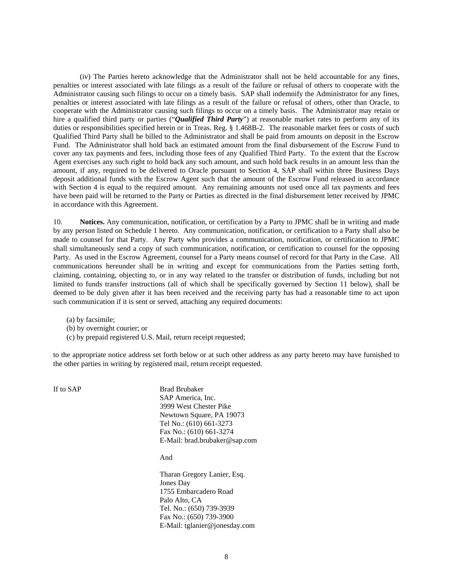(iv) The Parties hereto acknowledge that the Administrator shall not be held accountable for any fines, penalties or interest associated with late filings as a result of the failure or refusal of others to cooperate with the Administrator causing such filings to occur on a timely basis. SAP shall indemnify the Administrator for any fines, penalties or interest associated with late filings as a result of the failure or refusal of others, other than Oracle, to cooperate with the Administrator causing such filings to occur on a timely basis. The Administrator may retain or hire a qualified third party or parties ("*Qualified Third Party*") at reasonable market rates to perform any of its duties or responsibilities specified herein or in Treas. Reg. § 1.468B-2. The reasonable market fees or costs of such Qualified Third Party shall be billed to the Administrator and shall be paid from amounts on deposit in the Escrow Fund. The Administrator shall hold back an estimated amount from the final disbursement of the Escrow Fund to cover any tax payments and fees, including those fees of any Qualified Third Party. To the extent that the Escrow Agent exercises any such right to hold back any such amount, and such hold back results in an amount less than the amount, if any, required to be delivered to Oracle pursuant to Section 4, SAP shall within three Business Days deposit additional funds with the Escrow Agent such that the amount of the Escrow Fund released in accordance with Section 4 is equal to the required amount. Any remaining amounts not used once all tax payments and fees have been paid will be returned to the Party or Parties as directed in the final disbursement letter received by JPMC in accordance with this Agreement.

10. **Notices.** Any communication, notification, or certification by a Party to JPMC shall be in writing and made by any person listed on Schedule 1 hereto. Any communication, notification, or certification to a Party shall also be made to counsel for that Party. Any Party who provides a communication, notification, or certification to JPMC shall simultaneously send a copy of such communication, notification, or certification to counsel for the opposing Party. As used in the Escrow Agreement, counsel for a Party means counsel of record for that Party in the Case. All communications hereunder shall be in writing and except for communications from the Parties setting forth, claiming, containing, objecting to, or in any way related to the transfer or distribution of funds, including but not limited to funds transfer instructions (all of which shall be specifically governed by Section 11 below), shall be deemed to be duly given after it has been received and the receiving party has had a reasonable time to act upon such communication if it is sent or served, attaching any required documents:

- (a) by facsimile;
- (b) by overnight courier; or
- (c) by prepaid registered U.S. Mail, return receipt requested;

to the appropriate notice address set forth below or at such other address as any party hereto may have furnished to the other parties in writing by registered mail, return receipt requested.

If to SAP Brad Brubaker SAP America, Inc. 3999 West Chester Pike Newtown Square, PA 19073 Tel No.: (610) 661-3273 Fax No.: (610) 661-3274 E-Mail: brad.brubaker@sap.com

And

Tharan Gregory Lanier, Esq. Jones Day 1755 Embarcadero Road Palo Alto, CA Tel. No.: (650) 739-3939 Fax No.: (650) 739-3900 E-Mail: tglanier@jonesday.com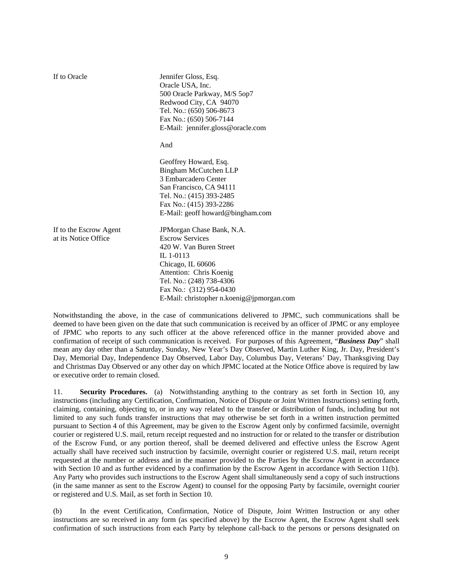| If to Oracle                                   | Jennifer Gloss, Esq.<br>Oracle USA, Inc.<br>500 Oracle Parkway, M/S 5op7<br>Redwood City, CA 94070<br>Tel. No.: (650) 506-8673<br>Fax No.: (650) 506-7144<br>E-Mail: jennifer.gloss@oracle.com<br>And                                           |
|------------------------------------------------|-------------------------------------------------------------------------------------------------------------------------------------------------------------------------------------------------------------------------------------------------|
|                                                | Geoffrey Howard, Esq.<br>Bingham McCutchen LLP<br>3 Embarcadero Center<br>San Francisco, CA 94111<br>Tel. No.: (415) 393-2485<br>Fax No.: (415) 393-2286<br>E-Mail: geoff howard@bingham.com                                                    |
| If to the Escrow Agent<br>at its Notice Office | JPMorgan Chase Bank, N.A.<br><b>Escrow Services</b><br>420 W. Van Buren Street<br>IL 1-0113<br>Chicago, IL 60606<br>Attention: Chris Koenig<br>Tel. No.: (248) 738-4306<br>Fax No.: (312) 954-0430<br>E-Mail: christopher n.koenig@jpmorgan.com |

Notwithstanding the above, in the case of communications delivered to JPMC, such communications shall be deemed to have been given on the date that such communication is received by an officer of JPMC or any employee of JPMC who reports to any such officer at the above referenced office in the manner provided above and confirmation of receipt of such communication is received. For purposes of this Agreement, "*Business Day*" shall mean any day other than a Saturday, Sunday, New Year's Day Observed, Martin Luther King, Jr. Day, President's Day, Memorial Day, Independence Day Observed, Labor Day, Columbus Day, Veterans' Day, Thanksgiving Day and Christmas Day Observed or any other day on which JPMC located at the Notice Office above is required by law or executive order to remain closed.

11. **Security Procedures.** (a) Notwithstanding anything to the contrary as set forth in Section 10, any instructions (including any Certification, Confirmation, Notice of Dispute or Joint Written Instructions) setting forth, claiming, containing, objecting to, or in any way related to the transfer or distribution of funds, including but not limited to any such funds transfer instructions that may otherwise be set forth in a written instruction permitted pursuant to Section 4 of this Agreement, may be given to the Escrow Agent only by confirmed facsimile, overnight courier or registered U.S. mail, return receipt requested and no instruction for or related to the transfer or distribution of the Escrow Fund, or any portion thereof, shall be deemed delivered and effective unless the Escrow Agent actually shall have received such instruction by facsimile, overnight courier or registered U.S. mail, return receipt requested at the number or address and in the manner provided to the Parties by the Escrow Agent in accordance with Section 10 and as further evidenced by a confirmation by the Escrow Agent in accordance with Section 11(b). Any Party who provides such instructions to the Escrow Agent shall simultaneously send a copy of such instructions (in the same manner as sent to the Escrow Agent) to counsel for the opposing Party by facsimile, overnight courier or registered and U.S. Mail, as set forth in Section 10.

(b) In the event Certification, Confirmation, Notice of Dispute, Joint Written Instruction or any other instructions are so received in any form (as specified above) by the Escrow Agent, the Escrow Agent shall seek confirmation of such instructions from each Party by telephone call-back to the persons or persons designated on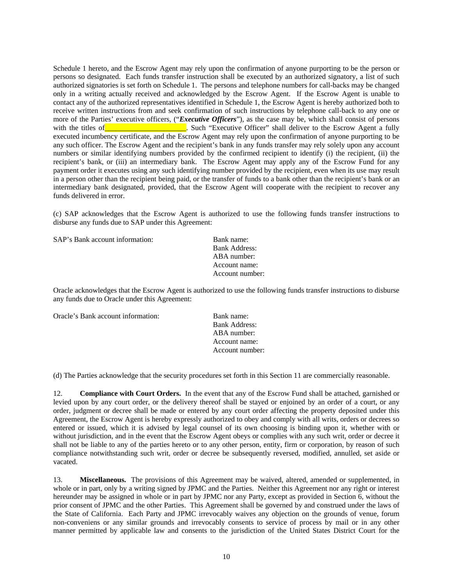Schedule 1 hereto, and the Escrow Agent may rely upon the confirmation of anyone purporting to be the person or persons so designated. Each funds transfer instruction shall be executed by an authorized signatory, a list of such authorized signatories is set forth on Schedule 1. The persons and telephone numbers for call-backs may be changed only in a writing actually received and acknowledged by the Escrow Agent. If the Escrow Agent is unable to contact any of the authorized representatives identified in Schedule 1, the Escrow Agent is hereby authorized both to receive written instructions from and seek confirmation of such instructions by telephone call-back to any one or more of the Parties' executive officers, ("*Executive Officers*"), as the case may be, which shall consist of persons with the titles of **Executive Officer** shall deliver to the Escrow Agent a fully executed incumbency certificate, and the Escrow Agent may rely upon the confirmation of anyone purporting to be any such officer. The Escrow Agent and the recipient's bank in any funds transfer may rely solely upon any account numbers or similar identifying numbers provided by the confirmed recipient to identify (i) the recipient, (ii) the recipient's bank, or (iii) an intermediary bank. The Escrow Agent may apply any of the Escrow Fund for any payment order it executes using any such identifying number provided by the recipient, even when its use may result in a person other than the recipient being paid, or the transfer of funds to a bank other than the recipient's bank or an intermediary bank designated, provided, that the Escrow Agent will cooperate with the recipient to recover any funds delivered in error.

(c) SAP acknowledges that the Escrow Agent is authorized to use the following funds transfer instructions to disburse any funds due to SAP under this Agreement:

| SAP's Bank account information: | Bank name:           |
|---------------------------------|----------------------|
|                                 | <b>Bank Address:</b> |
|                                 | ABA number:          |
|                                 | Account name:        |
|                                 | Account number:      |

Oracle acknowledges that the Escrow Agent is authorized to use the following funds transfer instructions to disburse any funds due to Oracle under this Agreement:

Oracle's Bank account information: Bank name:

 Bank Address: ABA number: Account name: Account number:

(d) The Parties acknowledge that the security procedures set forth in this Section 11 are commercially reasonable.

12. **Compliance with Court Orders.** In the event that any of the Escrow Fund shall be attached, garnished or levied upon by any court order, or the delivery thereof shall be stayed or enjoined by an order of a court, or any order, judgment or decree shall be made or entered by any court order affecting the property deposited under this Agreement, the Escrow Agent is hereby expressly authorized to obey and comply with all writs, orders or decrees so entered or issued, which it is advised by legal counsel of its own choosing is binding upon it, whether with or without jurisdiction, and in the event that the Escrow Agent obeys or complies with any such writ, order or decree it shall not be liable to any of the parties hereto or to any other person, entity, firm or corporation, by reason of such compliance notwithstanding such writ, order or decree be subsequently reversed, modified, annulled, set aside or vacated.

13. **Miscellaneous.** The provisions of this Agreement may be waived, altered, amended or supplemented, in whole or in part, only by a writing signed by JPMC and the Parties. Neither this Agreement nor any right or interest hereunder may be assigned in whole or in part by JPMC nor any Party, except as provided in Section 6, without the prior consent of JPMC and the other Parties. This Agreement shall be governed by and construed under the laws of the State of California. Each Party and JPMC irrevocably waives any objection on the grounds of venue, forum non-conveniens or any similar grounds and irrevocably consents to service of process by mail or in any other manner permitted by applicable law and consents to the jurisdiction of the United States District Court for the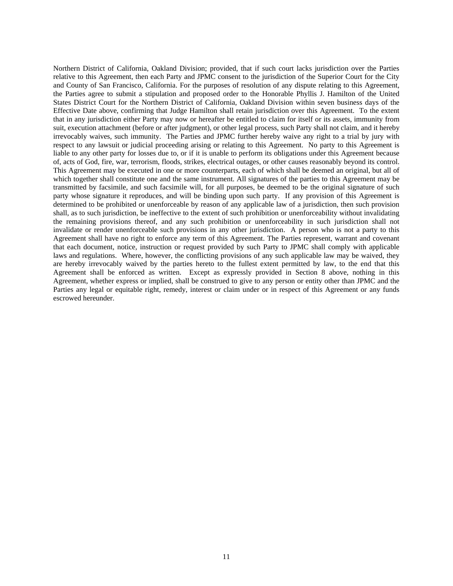Northern District of California, Oakland Division; provided, that if such court lacks jurisdiction over the Parties relative to this Agreement, then each Party and JPMC consent to the jurisdiction of the Superior Court for the City and County of San Francisco, California. For the purposes of resolution of any dispute relating to this Agreement, the Parties agree to submit a stipulation and proposed order to the Honorable Phyllis J. Hamilton of the United States District Court for the Northern District of California, Oakland Division within seven business days of the Effective Date above, confirming that Judge Hamilton shall retain jurisdiction over this Agreement. To the extent that in any jurisdiction either Party may now or hereafter be entitled to claim for itself or its assets, immunity from suit, execution attachment (before or after judgment), or other legal process, such Party shall not claim, and it hereby irrevocably waives, such immunity. The Parties and JPMC further hereby waive any right to a trial by jury with respect to any lawsuit or judicial proceeding arising or relating to this Agreement. No party to this Agreement is liable to any other party for losses due to, or if it is unable to perform its obligations under this Agreement because of, acts of God, fire, war, terrorism, floods, strikes, electrical outages, or other causes reasonably beyond its control. This Agreement may be executed in one or more counterparts, each of which shall be deemed an original, but all of which together shall constitute one and the same instrument. All signatures of the parties to this Agreement may be transmitted by facsimile, and such facsimile will, for all purposes, be deemed to be the original signature of such party whose signature it reproduces, and will be binding upon such party. If any provision of this Agreement is determined to be prohibited or unenforceable by reason of any applicable law of a jurisdiction, then such provision shall, as to such jurisdiction, be ineffective to the extent of such prohibition or unenforceability without invalidating the remaining provisions thereof, and any such prohibition or unenforceability in such jurisdiction shall not invalidate or render unenforceable such provisions in any other jurisdiction. A person who is not a party to this Agreement shall have no right to enforce any term of this Agreement. The Parties represent, warrant and covenant that each document, notice, instruction or request provided by such Party to JPMC shall comply with applicable laws and regulations. Where, however, the conflicting provisions of any such applicable law may be waived, they are hereby irrevocably waived by the parties hereto to the fullest extent permitted by law, to the end that this Agreement shall be enforced as written. Except as expressly provided in Section 8 above, nothing in this Agreement, whether express or implied, shall be construed to give to any person or entity other than JPMC and the Parties any legal or equitable right, remedy, interest or claim under or in respect of this Agreement or any funds escrowed hereunder.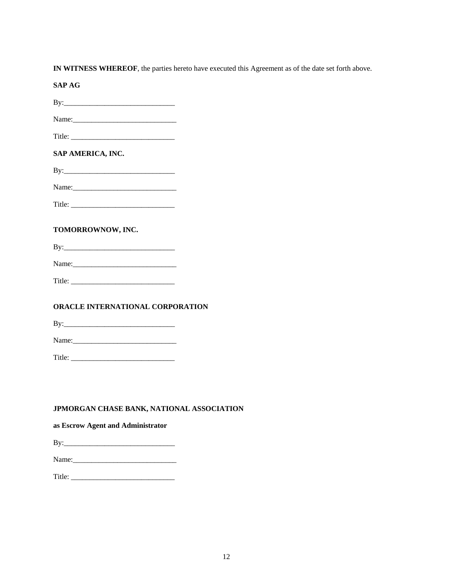**IN WITNESS WHEREOF**, the parties hereto have executed this Agreement as of the date set forth above.

**SAP AG** 

| Name: |  |  |
|-------|--|--|
|       |  |  |

| Title <sup>.</sup><br>. |
|-------------------------|
|-------------------------|

#### **SAP AMERICA, INC.**

Name:\_\_\_\_\_\_\_\_\_\_\_\_\_\_\_\_\_\_\_\_\_\_\_\_\_\_\_\_

Title: \_\_\_\_\_\_\_\_\_\_\_\_\_\_\_\_\_\_\_\_\_\_\_\_\_\_\_\_

#### **TOMORROWNOW, INC.**

By:\_\_\_\_\_\_\_\_\_\_\_\_\_\_\_\_\_\_\_\_\_\_\_\_\_\_\_\_\_\_

Name:\_\_\_\_\_\_\_\_\_\_\_\_\_\_\_\_\_\_\_\_\_\_\_\_\_\_\_\_

Title: \_\_\_\_\_\_\_\_\_\_\_\_\_\_\_\_\_\_\_\_\_\_\_\_\_\_\_\_

#### **ORACLE INTERNATIONAL CORPORATION**

By:\_\_\_\_\_\_\_\_\_\_\_\_\_\_\_\_\_\_\_\_\_\_\_\_\_\_\_\_\_\_

Name:\_\_\_\_\_\_\_\_\_\_\_\_\_\_\_\_\_\_\_\_\_\_\_\_\_\_\_\_

Title: \_\_\_\_\_\_\_\_\_\_\_\_\_\_\_\_\_\_\_\_\_\_\_\_\_\_\_\_

#### **JPMORGAN CHASE BANK, NATIONAL ASSOCIATION**

#### **as Escrow Agent and Administrator**

| B<br>2 |  |  |
|--------|--|--|
|        |  |  |

Name:\_\_\_\_\_\_\_\_\_\_\_\_\_\_\_\_\_\_\_\_\_\_\_\_\_\_\_\_

Title: \_\_\_\_\_\_\_\_\_\_\_\_\_\_\_\_\_\_\_\_\_\_\_\_\_\_\_\_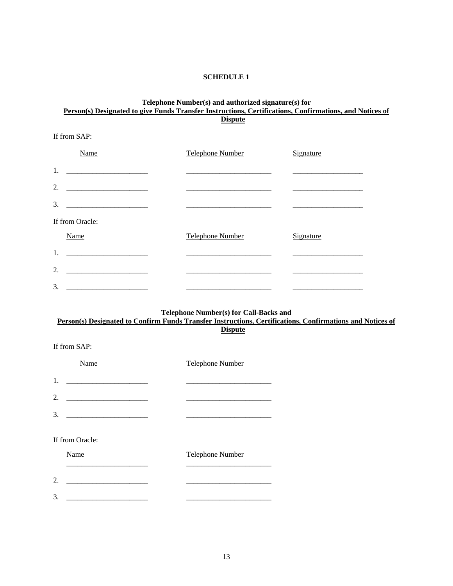#### **SCHEDULE 1**

#### **Telephone Number(s) and authorized signature(s) for**  Person(s) Designated to give Funds Transfer Instructions, Certifications, Confirmations, and Notices of **Dispute**

If from SAP:

If from SAP:

| Name                                                                                                                                                                                                                                       | <b>Telephone Number</b> | Signature |
|--------------------------------------------------------------------------------------------------------------------------------------------------------------------------------------------------------------------------------------------|-------------------------|-----------|
| 1.                                                                                                                                                                                                                                         |                         |           |
| 2.                                                                                                                                                                                                                                         |                         |           |
| 3.                                                                                                                                                                                                                                         |                         |           |
| If from Oracle:                                                                                                                                                                                                                            |                         |           |
| Name                                                                                                                                                                                                                                       | <b>Telephone Number</b> | Signature |
| 1.                                                                                                                                                                                                                                         |                         |           |
| 2.<br><u> 1980 - Jan Stein Stein Stein Stein Stein Stein Stein Stein Stein Stein Stein Stein Stein Stein Stein Stein Stein Stein Stein Stein Stein Stein Stein Stein Stein Stein Stein Stein Stein Stein Stein Stein Stein Stein Stein</u> |                         |           |
| 3.                                                                                                                                                                                                                                         |                         |           |

#### **Telephone Number(s) for Call-Backs and Person(s) Designated to Confirm Funds Transfer Instructions, Certifications, Confirmations and Notices of**

**Dispute**

| Name            | <b>Telephone Number</b> |
|-----------------|-------------------------|
| 1.              |                         |
| 2.              |                         |
| 3.              |                         |
| If from Oracle: |                         |
| Name            | Telephone Number        |
| 2.              |                         |
| 3.              |                         |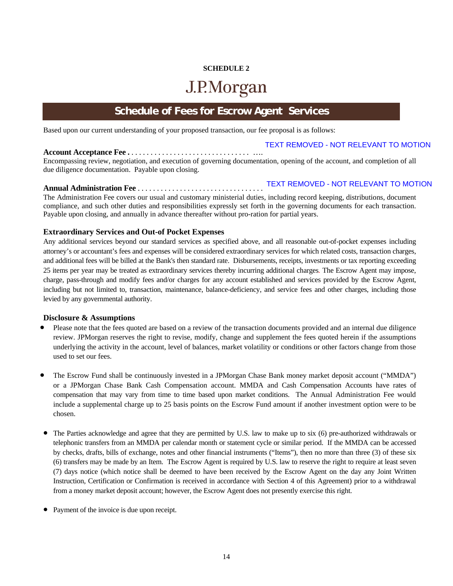## **SCHEDULE 2**  J.P.Morgan

### **Schedule of Fees for Escrow Agent Services**

Based upon our current understanding of your proposed transaction, our fee proposal is as follows:

#### **Account Acceptance Fee .** . . . . . . . . . . . . . . . . . . . . . . . . . . . . . . . …. TEXT REMOVED - NOT RELEVANT TO MOTION

Encompassing review, negotiation, and execution of governing documentation, opening of the account, and completion of all due diligence documentation. Payable upon closing.

#### **Annual Administration Fee** . . . . . . . . . . . . . . . . . . . . . . . . . . . . . . . . . TEXT REMOVED - NOT RELEVANT TO MOTION

The Administration Fee covers our usual and customary ministerial duties, including record keeping, distributions, document compliance, and such other duties and responsibilities expressly set forth in the governing documents for each transaction. Payable upon closing, and annually in advance thereafter without pro-ration for partial years.

#### **Extraordinary Services and Out-of Pocket Expenses**

Any additional services beyond our standard services as specified above, and all reasonable out-of-pocket expenses including attorney's or accountant's fees and expenses will be considered extraordinary services for which related costs, transaction charges, and additional fees will be billed at the Bank's then standard rate. Disbursements, receipts, investments or tax reporting exceeding 25 items per year may be treated as extraordinary services thereby incurring additional charges*.* The Escrow Agent may impose, charge, pass-through and modify fees and/or charges for any account established and services provided by the Escrow Agent, including but not limited to, transaction, maintenance, balance-deficiency, and service fees and other charges, including those levied by any governmental authority.

#### **Disclosure & Assumptions**

- Please note that the fees quoted are based on a review of the transaction documents provided and an internal due diligence review. JPMorgan reserves the right to revise, modify, change and supplement the fees quoted herein if the assumptions underlying the activity in the account, level of balances, market volatility or conditions or other factors change from those used to set our fees.
- The Escrow Fund shall be continuously invested in a JPMorgan Chase Bank money market deposit account ("MMDA") or a JPMorgan Chase Bank Cash Compensation account. MMDA and Cash Compensation Accounts have rates of compensation that may vary from time to time based upon market conditions. The Annual Administration Fee would include a supplemental charge up to 25 basis points on the Escrow Fund amount if another investment option were to be chosen.
- The Parties acknowledge and agree that they are permitted by U.S. law to make up to six (6) pre-authorized withdrawals or telephonic transfers from an MMDA per calendar month or statement cycle or similar period. If the MMDA can be accessed by checks, drafts, bills of exchange, notes and other financial instruments ("Items"), then no more than three (3) of these six (6) transfers may be made by an Item. The Escrow Agent is required by U.S. law to reserve the right to require at least seven (7) days notice (which notice shall be deemed to have been received by the Escrow Agent on the day any Joint Written Instruction, Certification or Confirmation is received in accordance with Section 4 of this Agreement) prior to a withdrawal from a money market deposit account; however, the Escrow Agent does not presently exercise this right.
- Payment of the invoice is due upon receipt.